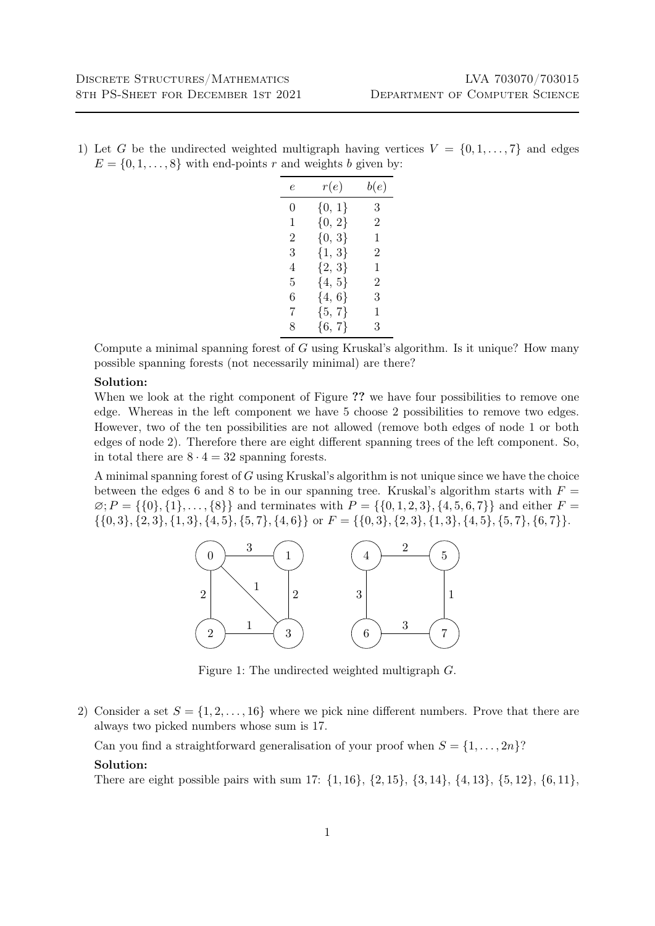1) Let G be the undirected weighted multigraph having vertices  $V = \{0, 1, \ldots, 7\}$  and edges  $E = \{0, 1, \ldots, 8\}$  with end-points r and weights b given by:

| e | r(e)       | b(e) |
|---|------------|------|
| 0 | ${0, 1}$   | 3    |
| 1 | ${0, 2}$   | 2    |
| 2 | ${0, 3}$   | 1    |
| 3 | $\{1, 3\}$ | 2    |
| 4 | ${2, 3}$   | 1    |
| 5 | $\{4, 5\}$ | 2    |
| 6 | $\{4, 6\}$ | 3    |
| 7 | ${5, 7}$   | 1    |
| 8 | ${6, 7}$   | 3    |

Compute a minimal spanning forest of G using Kruskal's algorithm. Is it unique? How many possible spanning forests (not necessarily minimal) are there?

## Solution:

When we look at the right component of Figure ?? we have four possibilities to remove one edge. Whereas in the left component we have 5 choose 2 possibilities to remove two edges. However, two of the ten possibilities are not allowed (remove both edges of node 1 or both edges of node 2). Therefore there are eight different spanning trees of the left component. So, in total there are  $8 \cdot 4 = 32$  spanning forests.

A minimal spanning forest of  $G$  using Kruskal's algorithm is not unique since we have the choice between the edges 6 and 8 to be in our spanning tree. Kruskal's algorithm starts with  $F =$  $\emptyset; P = \{\{0\},\{1\},\ldots,\{8\}\}\$ and terminates with  $P = \{\{0,1,2,3\},\{4,5,6,7\}\}\$ and either  $F =$  $\{\{0,3\},\{2,3\},\{1,3\},\{4,5\},\{5,7\},\{4,6\}\}\text{ or } F = \{\{0,3\},\{2,3\},\{1,3\},\{4,5\},\{5,7\},\{6,7\}\}.$ 



Figure 1: The undirected weighted multigraph G.

2) Consider a set  $S = \{1, 2, ..., 16\}$  where we pick nine different numbers. Prove that there are always two picked numbers whose sum is 17.

Can you find a straightforward generalisation of your proof when  $S = \{1, \ldots, 2n\}$ ?

## Solution:

There are eight possible pairs with sum 17:  $\{1, 16\}$ ,  $\{2, 15\}$ ,  $\{3, 14\}$ ,  $\{4, 13\}$ ,  $\{5, 12\}$ ,  $\{6, 11\}$ ,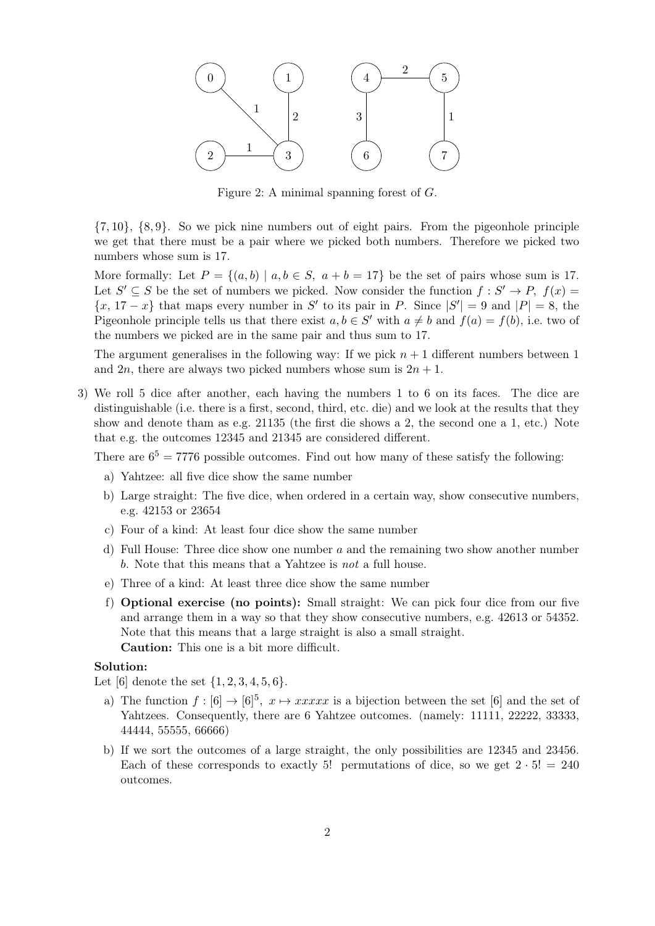

Figure 2: A minimal spanning forest of G.

{7, 10}, {8, 9}. So we pick nine numbers out of eight pairs. From the pigeonhole principle we get that there must be a pair where we picked both numbers. Therefore we picked two numbers whose sum is 17.

More formally: Let  $P = \{(a, b) | a, b \in S, a+b=17\}$  be the set of pairs whose sum is 17. Let  $S' \subseteq S$  be the set of numbers we picked. Now consider the function  $f : S' \to P$ ,  $f(x) =$  $\{x, 17 - x\}$  that maps every number in S' to its pair in P. Since  $|S'| = 9$  and  $|P| = 8$ , the Pigeonhole principle tells us that there exist  $a, b \in S'$  with  $a \neq b$  and  $f(a) = f(b)$ , i.e. two of the numbers we picked are in the same pair and thus sum to 17.

The argument generalises in the following way: If we pick  $n + 1$  different numbers between 1 and  $2n$ , there are always two picked numbers whose sum is  $2n + 1$ .

3) We roll 5 dice after another, each having the numbers 1 to 6 on its faces. The dice are distinguishable (i.e. there is a first, second, third, etc. die) and we look at the results that they show and denote tham as e.g. 21135 (the first die shows a 2, the second one a 1, etc.) Note that e.g. the outcomes 12345 and 21345 are considered different.

There are  $6^5 = 7776$  possible outcomes. Find out how many of these satisfy the following:

- a) Yahtzee: all five dice show the same number
- b) Large straight: The five dice, when ordered in a certain way, show consecutive numbers, e.g. 42153 or 23654
- c) Four of a kind: At least four dice show the same number
- d) Full House: Three dice show one number a and the remaining two show another number b. Note that this means that a Yahtzee is not a full house.
- e) Three of a kind: At least three dice show the same number
- f) Optional exercise (no points): Small straight: We can pick four dice from our five and arrange them in a way so that they show consecutive numbers, e.g. 42613 or 54352. Note that this means that a large straight is also a small straight. Caution: This one is a bit more difficult.

## Solution:

Let [6] denote the set  $\{1, 2, 3, 4, 5, 6\}.$ 

- a) The function  $f : [6] \to [6]^5$ ,  $x \mapsto xxxxx$  is a bijection between the set [6] and the set of Yahtzees. Consequently, there are 6 Yahtzee outcomes. (namely: 11111, 22222, 33333, 44444, 55555, 66666)
- b) If we sort the outcomes of a large straight, the only possibilities are 12345 and 23456. Each of these corresponds to exactly 5! permutations of dice, so we get  $2 \cdot 5! = 240$ outcomes.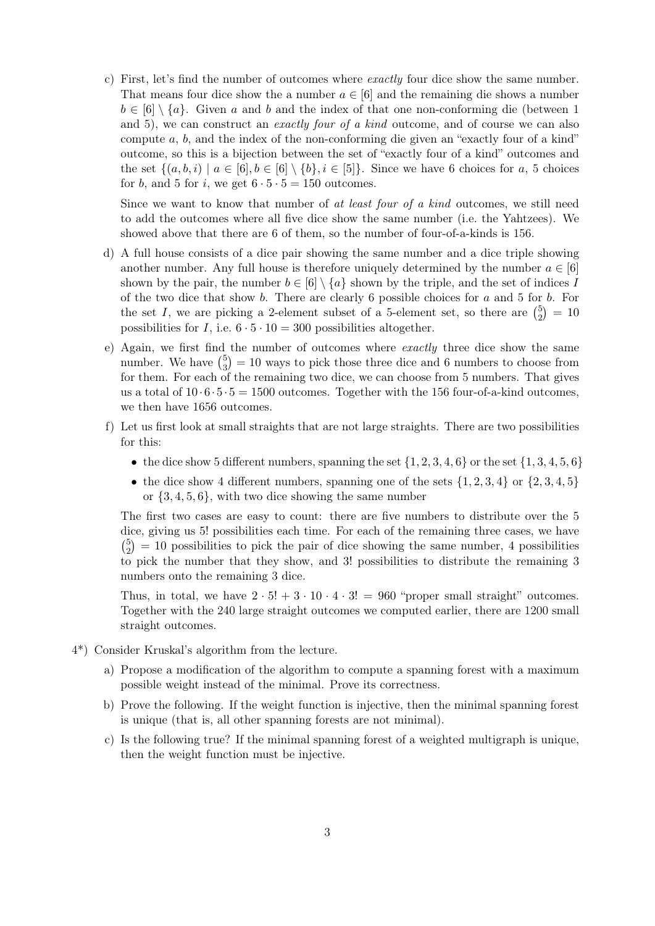c) First, let's find the number of outcomes where exactly four dice show the same number. That means four dice show the a number  $a \in [6]$  and the remaining die shows a number  $b \in [6] \setminus \{a\}$ . Given a and b and the index of that one non-conforming die (between 1) and 5), we can construct an *exactly four of a kind* outcome, and of course we can also compute  $a, b$ , and the index of the non-conforming die given an "exactly four of a kind" outcome, so this is a bijection between the set of "exactly four of a kind" outcomes and the set  $\{(a, b, i) \mid a \in [6], b \in [6] \setminus \{b\}, i \in [5]\}.$  Since we have 6 choices for a, 5 choices for b, and 5 for i, we get  $6 \cdot 5 \cdot 5 = 150$  outcomes.

Since we want to know that number of at least four of a kind outcomes, we still need to add the outcomes where all five dice show the same number (i.e. the Yahtzees). We showed above that there are 6 of them, so the number of four-of-a-kinds is 156.

- d) A full house consists of a dice pair showing the same number and a dice triple showing another number. Any full house is therefore uniquely determined by the number  $a \in [6]$ shown by the pair, the number  $b \in [6] \setminus \{a\}$  shown by the triple, and the set of indices I of the two dice that show b. There are clearly 6 possible choices for a and 5 for b. For the set I, we are picking a 2-element subset of a 5-element set, so there are  $\binom{5}{2}$  $\binom{5}{2} = 10$ possibilities for I, i.e.  $6 \cdot 5 \cdot 10 = 300$  possibilities altogether.
- e) Again, we first find the number of outcomes where exactly three dice show the same number. We have  $\binom{5}{3}$  $_3^5$  = 10 ways to pick those three dice and 6 numbers to choose from for them. For each of the remaining two dice, we can choose from 5 numbers. That gives us a total of  $10 \cdot 6 \cdot 5 \cdot 5 = 1500$  outcomes. Together with the 156 four-of-a-kind outcomes. we then have 1656 outcomes.
- f) Let us first look at small straights that are not large straights. There are two possibilities for this:
	- the dice show 5 different numbers, spanning the set  $\{1, 2, 3, 4, 6\}$  or the set  $\{1, 3, 4, 5, 6\}$
	- the dice show 4 different numbers, spanning one of the sets  $\{1, 2, 3, 4\}$  or  $\{2, 3, 4, 5\}$ or  $\{3, 4, 5, 6\}$ , with two dice showing the same number

The first two cases are easy to count: there are five numbers to distribute over the 5 dice, giving us 5! possibilities each time. For each of the remaining three cases, we have  $\binom{5}{2}$  $\binom{5}{2}$  = 10 possibilities to pick the pair of dice showing the same number, 4 possibilities to pick the number that they show, and 3! possibilities to distribute the remaining 3 numbers onto the remaining 3 dice.

Thus, in total, we have  $2 \cdot 5! + 3 \cdot 10 \cdot 4 \cdot 3! = 960$  "proper small straight" outcomes. Together with the 240 large straight outcomes we computed earlier, there are 1200 small straight outcomes.

- 4\*) Consider Kruskal's algorithm from the lecture.
	- a) Propose a modification of the algorithm to compute a spanning forest with a maximum possible weight instead of the minimal. Prove its correctness.
	- b) Prove the following. If the weight function is injective, then the minimal spanning forest is unique (that is, all other spanning forests are not minimal).
	- c) Is the following true? If the minimal spanning forest of a weighted multigraph is unique, then the weight function must be injective.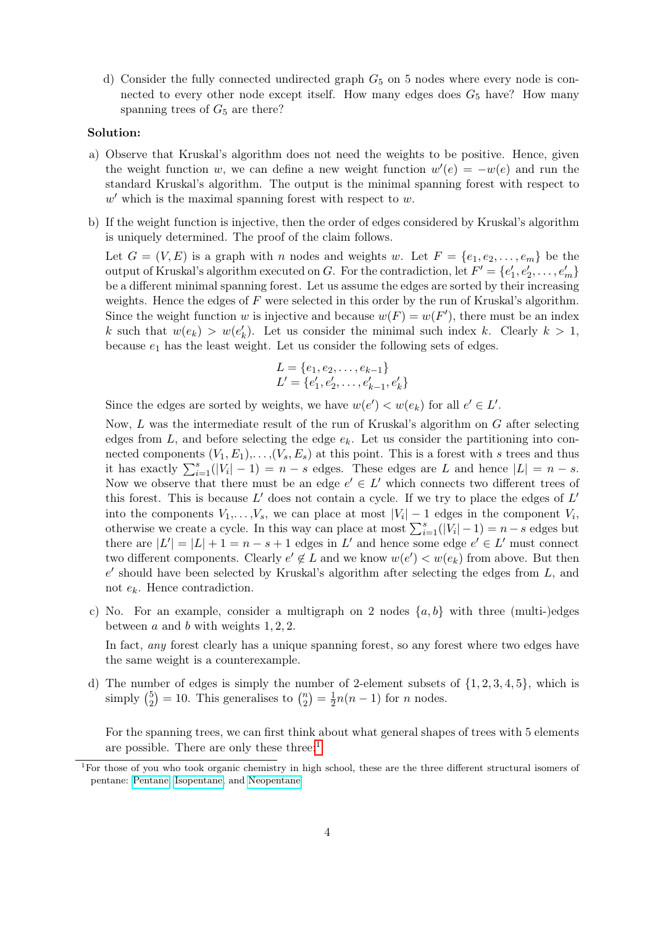d) Consider the fully connected undirected graph  $G<sub>5</sub>$  on 5 nodes where every node is connected to every other node except itself. How many edges does  $G_5$  have? How many spanning trees of  $G<sub>5</sub>$  are there?

## Solution:

- a) Observe that Kruskal's algorithm does not need the weights to be positive. Hence, given the weight function w, we can define a new weight function  $w'(e) = -w(e)$  and run the standard Kruskal's algorithm. The output is the minimal spanning forest with respect to  $w'$  which is the maximal spanning forest with respect to  $w$ .
- b) If the weight function is injective, then the order of edges considered by Kruskal's algorithm is uniquely determined. The proof of the claim follows.

Let  $G = (V, E)$  is a graph with n nodes and weights w. Let  $F = \{e_1, e_2, \ldots, e_m\}$  be the output of Kruskal's algorithm executed on G. For the contradiction, let  $F' = \{e'_1, e'_2, \ldots, e'_m\}$ be a different minimal spanning forest. Let us assume the edges are sorted by their increasing weights. Hence the edges of  $F$  were selected in this order by the run of Kruskal's algorithm. Since the weight function w is injective and because  $w(F) = w(F')$ , there must be an index k such that  $w(e_k) > w(e'_k)$ . Let us consider the minimal such index k. Clearly  $k > 1$ , because  $e_1$  has the least weight. Let us consider the following sets of edges.

$$
L = \{e_1, e_2, \dots, e_{k-1}\}
$$
  

$$
L' = \{e'_1, e'_2, \dots, e'_{k-1}, e'_k\}
$$

Since the edges are sorted by weights, we have  $w(e') < w(e_k)$  for all  $e' \in L'$ .

Now, L was the intermediate result of the run of Kruskal's algorithm on G after selecting edges from L, and before selecting the edge  $e_k$ . Let us consider the partitioning into connected components  $(V_1, E_1), \ldots, (V_s, E_s)$  at this point. This is a forest with s trees and thus it has exactly  $\sum_{i=1}^{s}(|V_i|-1) = n-s$  edges. These edges are L and hence  $|L| = n-s$ . Now we observe that there must be an edge  $e' \in L'$  which connects two different trees of this forest. This is because  $L'$  does not contain a cycle. If we try to place the edges of  $L'$ into the components  $V_1, \ldots, V_s$ , we can place at most  $|V_i| - 1$  edges in the component  $V_i$ , otherwise we create a cycle. In this way can place at most  $\sum_{i=1}^{s} (|V_i| - 1) = n - s$  edges but there are  $|L'| = |L| + 1 = n - s + 1$  edges in L' and hence some edge  $e' \in L'$  must connect two different components. Clearly  $e' \notin L$  and we know  $w(e') < w(e_k)$  from above. But then  $e'$  should have been selected by Kruskal's algorithm after selecting the edges from  $L$ , and not  $e_k$ . Hence contradiction.

c) No. For an example, consider a multigraph on 2 nodes  $\{a, b\}$  with three (multi-)edges between a and b with weights  $1, 2, 2$ .

In fact, any forest clearly has a unique spanning forest, so any forest where two edges have the same weight is a counterexample.

d) The number of edges is simply the number of 2-element subsets of  $\{1, 2, 3, 4, 5\}$ , which is simply  $\binom{5}{2}$  $\binom{5}{2}$  = 10. This generalises to  $\binom{n}{2}$  $\binom{n}{2} = \frac{1}{2}$  $\frac{1}{2}n(n-1)$  for *n* nodes.

For the spanning trees, we can first think about what general shapes of trees with 5 elements are possible. There are only these three: $<sup>1</sup>$  $<sup>1</sup>$  $<sup>1</sup>$ </sup>

<span id="page-3-0"></span><sup>&</sup>lt;sup>1</sup>For those of you who took organic chemistry in high school, these are the three different structural isomers of pentane: [Pentane,](https://en.wikipedia.org/wiki/Pentane) [Isopentane,](https://en.wikipedia.org/wiki/Isopentane) and [Neopentane](https://en.wikipedia.org/wiki/Neopentane)